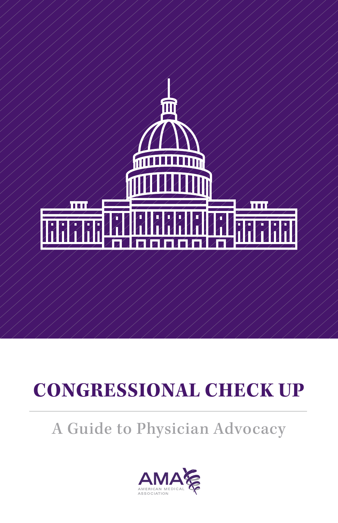

# **CONGRESSIONAL CHECK UP**

# A Guide to Physician Advocacy

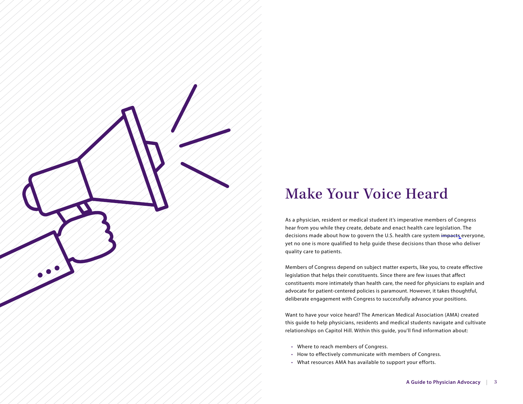

# Make Your Voice Heard

As a physician, resident or medical student it's imperative members of Congress hear from you while they create, debate and enact health care legislation. The decisions made about how to govern the U.S. health care system impacts everyone, yet no one is more qualified to help guide these decisions than those who deliver quality care to patients.

Members of Congress depend on subject matter experts, like you, to create effective legislation that helps their constituents. Since there are few issues that affect constituents more intimately than health care, the need for physicians to explain and advocate for patient-centered policies is paramount. However, it takes thoughtful, deliberate engagement with Congress to successfully advance your positions.

Want to have your voice heard? The American Medical Association (AMA) created this guide to help physicians, residents and medical students navigate and cultivate relationships on Capitol Hill. Within this guide, you'll find information about:

- Where to reach members of Congress.
- How to effectively communicate with members of Congress.
- What resources AMA has available to support your efforts.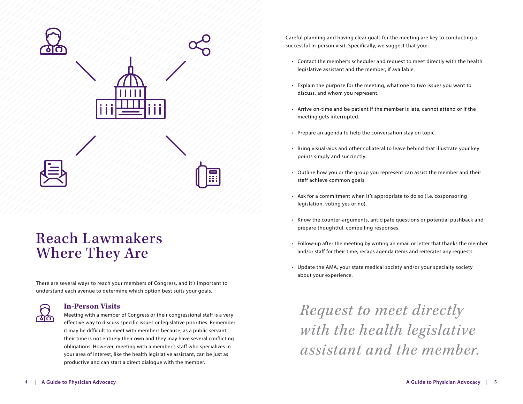

# Reach Lawmakers Where They Are

There are several ways to reach your members of Congress, and it's important to understand each avenue to determine which option best suits your goals.

### **In-Person Visits**

 Meeting with a member of Congress or their congressional staff is a very effective way to discuss specific issues or legislative priorities. Remember it may be difficult to meet with members because, as a public servant, their time is not entirely their own and they may have several conflicting obligations. However, meeting with a member's staff who specializes in your area of interest, like the health legislative assistant, can be just as productive and can start a direct dialogue with the member.

Careful planning and having clear goals for the meeting are key to conducting a successful in-person visit. Specifically, we suggest that you:

- Contact the member's scheduler and request to meet directly with the health legislative assistant and the member, if available.
- Explain the purpose for the meeting, what one to two issues you want to discuss, and whom you represent.
- Arrive on-time and be patient if the member is late, cannot attend or if the meeting gets interrupted.
- Prepare an agenda to help the conversation stay on topic.
- Bring visual-aids and other collateral to leave behind that illustrate your key points simply and succinctly.
- Outline how you or the group you represent can assist the member and their staff achieve common goals.
- Ask for a commitment when it's appropriate to do so (i.e. cosponsoring legislation, voting yes or no).
- Know the counter-arguments, anticipate questions or potential pushback and prepare thoughtful, compelling responses.
- Follow-up after the meeting by writing an email or letter that thanks the member and/or staff for their time, recaps agenda items and reiterates any requests.
- Update the AMA, your state medical society and/or your specialty society about your experience.

*Request to meet directly with the health legislative assistant and the member.*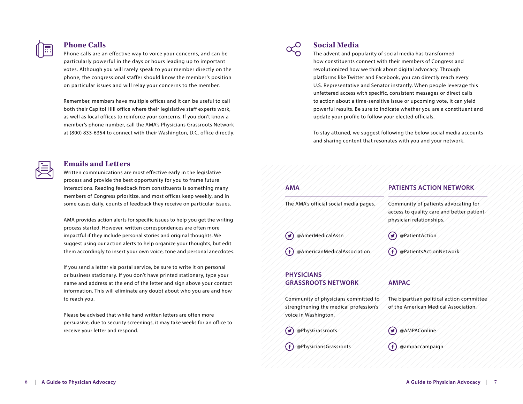

### **Phone Calls**

Phone calls are an effective way to voice your concerns, and can be particularly powerful in the days or hours leading up to important votes. Although you will rarely speak to your member directly on the phone, the congressional staffer should know the member's position on particular issues and will relay your concerns to the member.

Remember, members have multiple offices and it can be useful to call both their Capitol Hill office where their legislative staff experts work, as well as local offices to reinforce your concerns. If you don't know a member's phone number, call the AMA's Physicians Grassroots Network at (800) 833-6354 to connect with their Washington, D.C. office directly.

# **Emails and Letters**

Written communications are most effective early in the legislative process and provide the best opportunity for you to frame future interactions. Reading feedback from constituents is something many members of Congress prioritize, and most offices keep weekly, and in some cases daily, counts of feedback they receive on particular issues.

AMA provides action alerts for specific issues to help you get the writing process started. However, written correspondences are often more impactful if they include personal stories and original thoughts. We suggest using our action alerts to help organize your thoughts, but edit them accordingly to insert your own voice, tone and personal anecdotes.

If you send a letter via postal service, be sure to write it on personal or business stationary. If you don't have printed stationary, type your name and address at the end of the letter and sign above your contact information. This will eliminate any doubt about who you are and how to reach you.

Please be advised that while hand written letters are often more persuasive, due to security screenings, it may take weeks for an office to receive your letter and respond.



### **Social Media**

The advent and popularity of social media has transformed how constituents connect with their members of Congress and revolutionized how we think about digital advocacy. Through platforms like Twitter and Facebook, you can directly reach every U.S. Representative and Senator instantly. When people leverage this unfettered access with specific, consistent messages or direct calls to action about a time-sensitive issue or upcoming vote, it can yield powerful results. Be sure to indicate whether you are a constituent and update your profile to follow your elected officials.

To stay attuned, we suggest following the below social media accounts and sharing content that resonates with you and your network.

# **AMA** The AMA's official social media pages. @AmerMedicalAssn @AmericanMedicalAssociation **PHYSICIANS GRASSROOTS NETWORK** Community of physicians committed to strengthening the medical profession's voice in Washington. @PhysGrassroots @PhysiciansGrassroots **PATIENTS ACTION NETWORK** Community of patients advocating for access to quality care and better patientphysician relationships. @PatientAction @PatientsActionNetwork **AMPAC** The bipartisan political action committee of the American Medical Association. @AMPAConline @ampaccampaign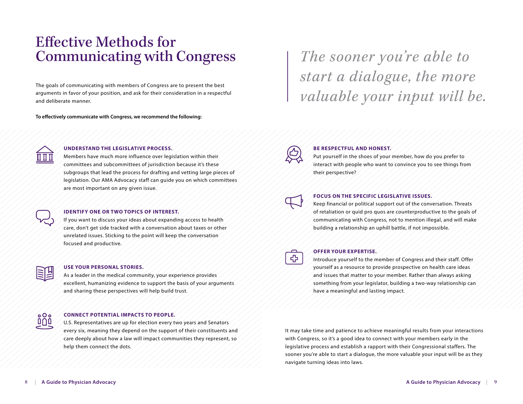# Effective Methods for Communicating with Congress

The goals of communicating with members of Congress are to present the best arguments in favor of your position, and ask for their consideration in a respectful and deliberate manner.

**To effectively communicate with Congress, we recommend the following:**

*The sooner you're able to start a dialogue, the more valuable your input will be.*



### **UNDERSTAND THE LEGISLATIVE PROCESS.**

Members have much more influence over legislation within their committees and subcommittees of jurisdiction because it's these subgroups that lead the process for drafting and vetting large pieces of legislation. Our AMA Advocacy staff can guide you on which committees are most important on any given issue.



#### **IDENTIFY ONE OR TWO TOPICS OF INTEREST.**

If you want to discuss your ideas about expanding access to health care, don't get side tracked with a conversation about taxes or other unrelated issues. Sticking to the point will keep the conversation focused and productive.

 $000$ 000

#### **USE YOUR PERSONAL STORIES.**

As a leader in the medical community, your experience provides excellent, humanizing evidence to support the basis of your arguments and sharing these perspectives will help build trust.

#### **CONNECT POTENTIAL IMPACTS TO PEOPLE.**

U.S. Representatives are up for election every two years and Senators every six, meaning they depend on the support of their constituents and care deeply about how a law will impact communities they represent, so help them connect the dots.



#### **BE RESPECTFUL AND HONEST.**

Put yourself in the shoes of your member, how do you prefer to interact with people who want to convince you to see things from their perspective?



### **FOCUS ON THE SPECIFIC LEGISLATIVE ISSUES.**

Keep financial or political support out of the conversation. Threats of retaliation or quid pro quos are counterproductive to the goals of communicating with Congress, not to mention illegal, and will make building a relationship an uphill battle, if not impossible.



#### **OFFER YOUR EXPERTISE.**

Introduce yourself to the member of Congress and their staff. Offer yourself as a resource to provide prospective on health care ideas and issues that matter to your member. Rather than always asking something from your legislator, building a two-way relationship can have a meaningful and lasting impact.

It may take time and patience to achieve meaningful results from your interactions with Congress, so it's a good idea to connect with your members early in the legislative process and establish a rapport with their Congressional staffers. The sooner you're able to start a dialogue, the more valuable your input will be as they navigate turning ideas into laws.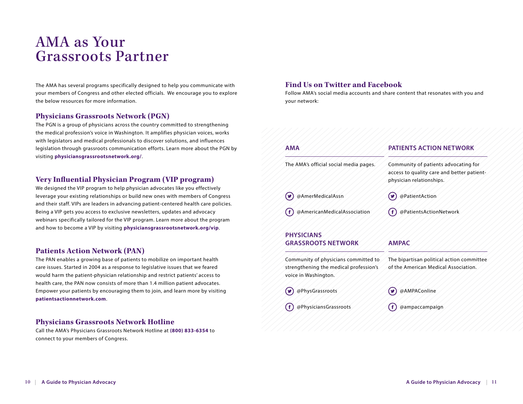# AMA as Your Grassroots Partner

The AMA has several programs specifically designed to help you communicate with your members of Congress and other elected officials. We encourage you to explore the below resources for more information.

## **Physicians Grassroots Network (PGN)**

The PGN is a group of physicians across the country committed to strengthening the medical profession's voice in Washington. It amplifies physician voices, works with legislators and medical professionals to discover solutions, and influences legislation through grassroots communication efforts. Learn more about the PGN by visiting **physiciansgrassrootsnetwork.org/**.

# **Very Influential Physician Program (VIP program)**

We designed the VIP program to help physician advocates like you effectively leverage your existing relationships or build new ones with members of Congress and their staff. VIPs are leaders in advancing patient-centered health care policies. Being a VIP gets you access to exclusive newsletters, updates and advocacy webinars specifically tailored for the VIP program. Learn more about the program and how to become a VIP by visiting **physiciansgrassrootsnetwork.org/vip**.

## **Patients Action Network (PAN)**

The PAN enables a growing base of patients to mobilize on important health care issues. Started in 2004 as a response to legislative issues that we feared would harm the patient-physician relationship and restrict patients' access to health care, the PAN now consists of more than 1.4 million patient advocates. Empower your patients by encouraging them to join, and learn more by visiting **patientsactionnetwork.com**.

## **Physicians Grassroots Network Hotline**

Call the AMA's Physicians Grassroots Network Hotline at **(800) 833-6354** to connect to your members of Congress.

# **Find Us on Twitter and Facebook**

Follow AMA's social media accounts and share content that resonates with you and your network:

| <b>AMA</b>                             | PATIENTS ACTION NETWORK                                                                                        |
|----------------------------------------|----------------------------------------------------------------------------------------------------------------|
| The AMA's official social media pages. | Community of patients advocating for<br>access to quality care and better patient-<br>physician relationships. |
| @AmerMedicalAssn                       | @PatientAction                                                                                                 |
| @AmericanMedicalAssociation            | @PatientsActionNetwork                                                                                         |
| <b>PHYSICIANS</b>                      |                                                                                                                |
| <b>GRASSROOTS NETWORK</b>              | <b>AMPAC</b>                                                                                                   |
| .<br>/ /* / Y ·                        |                                                                                                                |

Community of physicians committed to strengthening the medical profession's voice in Washington.

@PhysGrassroots

The bipartisan political action committee of the American Medical Association.

@AMPAConline

@PhysiciansGrassroots

@ampaccampaign